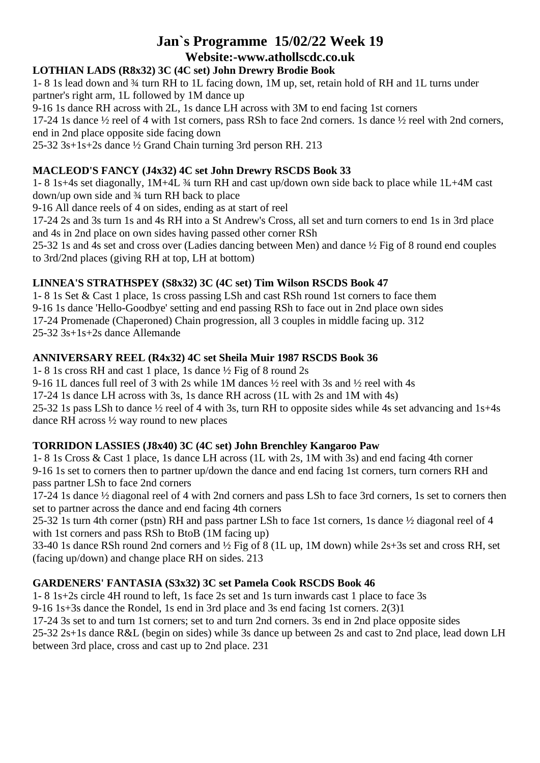# **Jan`s Programme 15/02/22 Week 19 Website:-www.athollscdc.co.uk**

## **LOTHIAN LADS (R8x32) 3C (4C set) John Drewry Brodie Book**

1- 8 1s lead down and ¾ turn RH to 1L facing down, 1M up, set, retain hold of RH and 1L turns under partner's right arm, 1L followed by 1M dance up

9-16 1s dance RH across with 2L, 1s dance LH across with 3M to end facing 1st corners

17-24 1s dance ½ reel of 4 with 1st corners, pass RSh to face 2nd corners. 1s dance ½ reel with 2nd corners, end in 2nd place opposite side facing down

25-32 3s+1s+2s dance ½ Grand Chain turning 3rd person RH. 213

## **MACLEOD'S FANCY (J4x32) 4C set John Drewry RSCDS Book 33**

1- 8 1s+4s set diagonally, 1M+4L ¾ turn RH and cast up/down own side back to place while 1L+4M cast down/up own side and ¾ turn RH back to place

9-16 All dance reels of 4 on sides, ending as at start of reel

17-24 2s and 3s turn 1s and 4s RH into a St Andrew's Cross, all set and turn corners to end 1s in 3rd place and 4s in 2nd place on own sides having passed other corner RSh

25-32 1s and 4s set and cross over (Ladies dancing between Men) and dance ½ Fig of 8 round end couples to 3rd/2nd places (giving RH at top, LH at bottom)

## **LINNEA'S STRATHSPEY (S8x32) 3C (4C set) Tim Wilson RSCDS Book 47**

1- 8 1s Set & Cast 1 place, 1s cross passing LSh and cast RSh round 1st corners to face them 9-16 1s dance 'Hello-Goodbye' setting and end passing RSh to face out in 2nd place own sides 17-24 Promenade (Chaperoned) Chain progression, all 3 couples in middle facing up. 312 25-32 3s+1s+2s dance Allemande

## **ANNIVERSARY REEL (R4x32) 4C set Sheila Muir 1987 RSCDS Book 36**

1- 8 1s cross RH and cast 1 place, 1s dance ½ Fig of 8 round 2s

9-16 1L dances full reel of 3 with 2s while 1M dances ½ reel with 3s and ½ reel with 4s

17-24 1s dance LH across with 3s, 1s dance RH across (1L with 2s and 1M with 4s)

25-32 1s pass LSh to dance ½ reel of 4 with 3s, turn RH to opposite sides while 4s set advancing and 1s+4s dance RH across ½ way round to new places

## **TORRIDON LASSIES (J8x40) 3C (4C set) John Brenchley Kangaroo Paw**

1- 8 1s Cross & Cast 1 place, 1s dance LH across (1L with 2s, 1M with 3s) and end facing 4th corner 9-16 1s set to corners then to partner up/down the dance and end facing 1st corners, turn corners RH and pass partner LSh to face 2nd corners

17-24 1s dance ½ diagonal reel of 4 with 2nd corners and pass LSh to face 3rd corners, 1s set to corners then set to partner across the dance and end facing 4th corners

25-32 1s turn 4th corner (pstn) RH and pass partner LSh to face 1st corners, 1s dance ½ diagonal reel of 4 with 1st corners and pass RSh to BtoB (1M facing up)

33-40 1s dance RSh round 2nd corners and ½ Fig of 8 (1L up, 1M down) while 2s+3s set and cross RH, set (facing up/down) and change place RH on sides. 213

## **GARDENERS' FANTASIA (S3x32) 3C set Pamela Cook RSCDS Book 46**

1- 8 1s+2s circle 4H round to left, 1s face 2s set and 1s turn inwards cast 1 place to face 3s

9-16 1s+3s dance the Rondel, 1s end in 3rd place and 3s end facing 1st corners. 2(3)1

17-24 3s set to and turn 1st corners; set to and turn 2nd corners. 3s end in 2nd place opposite sides

25-32 2s+1s dance R&L (begin on sides) while 3s dance up between 2s and cast to 2nd place, lead down LH between 3rd place, cross and cast up to 2nd place. 231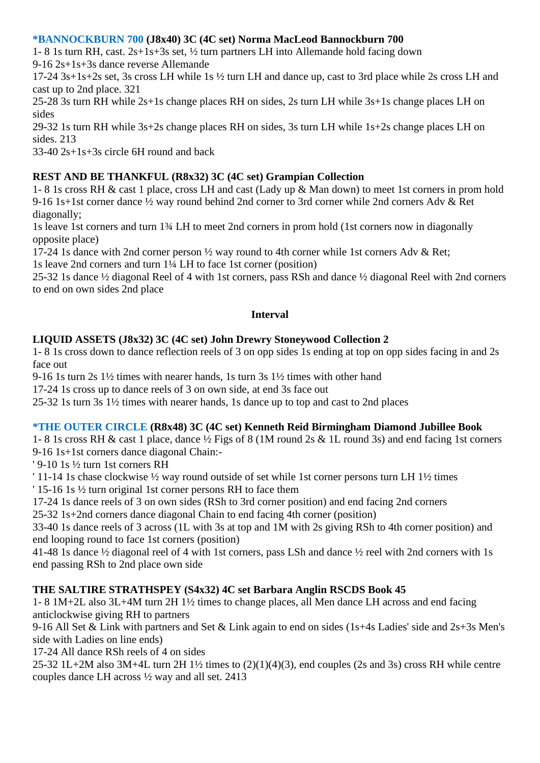#### **\*BANNOCKBURN 700 (J8x40) 3C (4C set) Norma MacLeod Bannockburn 700**

1- 8 1s turn RH, cast. 2s+1s+3s set, ½ turn partners LH into Allemande hold facing down 9-16 2s+1s+3s dance reverse Allemande

17-24 3s+1s+2s set, 3s cross LH while 1s ½ turn LH and dance up, cast to 3rd place while 2s cross LH and cast up to 2nd place. 321

25-28 3s turn RH while 2s+1s change places RH on sides, 2s turn LH while 3s+1s change places LH on sides

29-32 1s turn RH while 3s+2s change places RH on sides, 3s turn LH while 1s+2s change places LH on sides. 213

33-40 2s+1s+3s circle 6H round and back

## **REST AND BE THANKFUL (R8x32) 3C (4C set) Grampian Collection**

1- 8 1s cross RH & cast 1 place, cross LH and cast (Lady up & Man down) to meet 1st corners in prom hold 9-16 1s+1st corner dance ½ way round behind 2nd corner to 3rd corner while 2nd corners Adv & Ret diagonally;

1s leave 1st corners and turn 1¾ LH to meet 2nd corners in prom hold (1st corners now in diagonally opposite place)

17-24 1s dance with 2nd corner person ½ way round to 4th corner while 1st corners Adv & Ret;

1s leave 2nd corners and turn 1¼ LH to face 1st corner (position)

25-32 1s dance ½ diagonal Reel of 4 with 1st corners, pass RSh and dance ½ diagonal Reel with 2nd corners to end on own sides 2nd place

#### **Interval**

#### **LIQUID ASSETS (J8x32) 3C (4C set) John Drewry Stoneywood Collection 2**

1- 8 1s cross down to dance reflection reels of 3 on opp sides 1s ending at top on opp sides facing in and 2s face out

9-16 1s turn 2s 1½ times with nearer hands, 1s turn 3s 1½ times with other hand

17-24 1s cross up to dance reels of 3 on own side, at end 3s face out

25-32 1s turn 3s 1½ times with nearer hands, 1s dance up to top and cast to 2nd places

#### **\*THE OUTER CIRCLE (R8x48) 3C (4C set) Kenneth Reid Birmingham Diamond Jubillee Book**

1- 8 1s cross RH & cast 1 place, dance ½ Figs of 8 (1M round 2s & 1L round 3s) and end facing 1st corners 9-16 1s+1st corners dance diagonal Chain:-

' 9-10 1s ½ turn 1st corners RH

' 11-14 1s chase clockwise ½ way round outside of set while 1st corner persons turn LH 1½ times

' 15-16 1s ½ turn original 1st corner persons RH to face them

17-24 1s dance reels of 3 on own sides (RSh to 3rd corner position) and end facing 2nd corners

25-32 1s+2nd corners dance diagonal Chain to end facing 4th corner (position)

33-40 1s dance reels of 3 across (1L with 3s at top and 1M with 2s giving RSh to 4th corner position) and end looping round to face 1st corners (position)

41-48 1s dance ½ diagonal reel of 4 with 1st corners, pass LSh and dance ½ reel with 2nd corners with 1s end passing RSh to 2nd place own side

## **THE SALTIRE STRATHSPEY (S4x32) 4C set Barbara Anglin RSCDS Book 45**

1- 8 1M+2L also 3L+4M turn 2H 1½ times to change places, all Men dance LH across and end facing anticlockwise giving RH to partners

9-16 All Set & Link with partners and Set & Link again to end on sides (1s+4s Ladies' side and 2s+3s Men's side with Ladies on line ends)

17-24 All dance RSh reels of 4 on sides

25-32 1L+2M also 3M+4L turn 2H 1½ times to (2)(1)(4)(3), end couples (2s and 3s) cross RH while centre couples dance LH across ½ way and all set. 2413